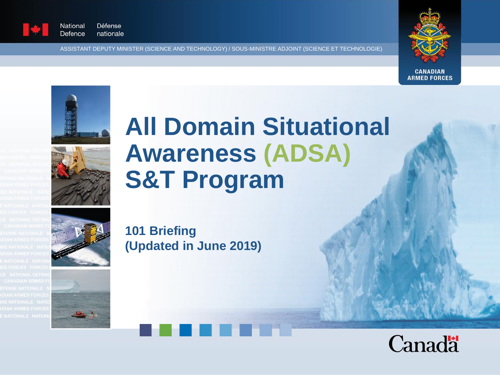

National **Défense** Defence nationale

ASSISTANT DEPUTY MINISTER (SCIENCE AND TECHNOLOGY) / SOUS-MINISTRE ADJOINT (SCIENCE ET TECHNOLOGIE)







# **All Domain Situational Awareness (ADSA) S&T Program**







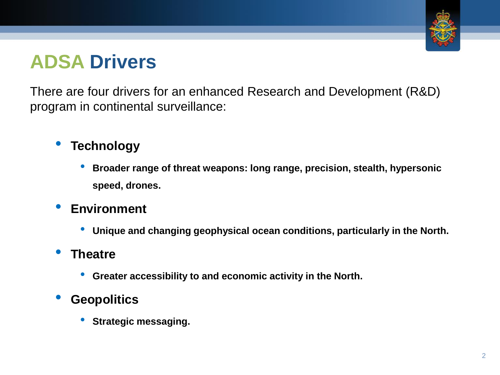

### **ADSA Drivers**

There are four drivers for an enhanced Research and Development (R&D) program in continental surveillance:

### • **Technology**

- **Broader range of threat weapons: long range, precision, stealth, hypersonic speed, drones.**
- **Environment**
	- **Unique and changing geophysical ocean conditions, particularly in the North.**

#### • **Theatre**

• **Greater accessibility to and economic activity in the North.**

#### • **Geopolitics**

• **Strategic messaging.**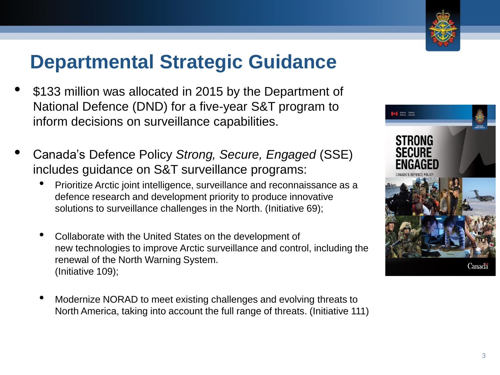

### **Departmental Strategic Guidance**

- \$133 million was allocated in 2015 by the Department of National Defence (DND) for a five-year S&T program to inform decisions on surveillance capabilities.
- Canada's Defence Policy *Strong, Secure, Engaged* (SSE) includes guidance on S&T surveillance programs:
	- Prioritize Arctic joint intelligence, surveillance and reconnaissance as a defence research and development priority to produce innovative solutions to surveillance challenges in the North. (Initiative 69);
	- Collaborate with the United States on the development of new technologies to improve Arctic surveillance and control, including the renewal of the North Warning System. (Initiative 109);
	- Modernize NORAD to meet existing challenges and evolving threats to North America, taking into account the full range of threats. (Initiative 111)

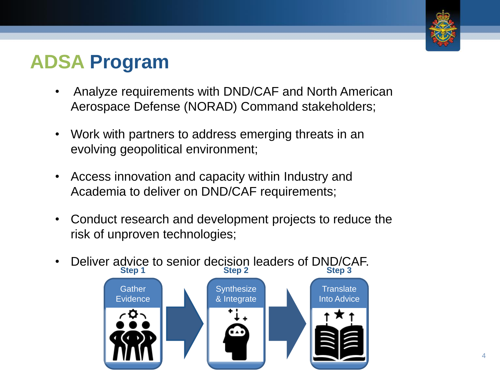

### **ADSA Program**

- Analyze requirements with DND/CAF and North American Aerospace Defense (NORAD) Command stakeholders;
- Work with partners to address emerging threats in an evolving geopolitical environment;
- Access innovation and capacity within Industry and Academia to deliver on DND/CAF requirements;
- Conduct research and development projects to reduce the risk of unproven technologies;
- Deliver advice to senior decision leaders of DND/CAF. **Step 1 Step 2 Step 3**

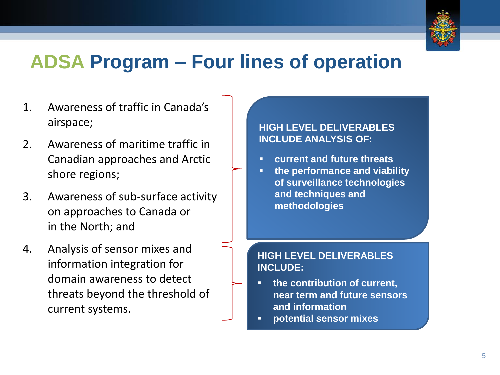

### **ADSA Program – Four lines of operation**

- 1. Awareness of traffic in Canada's airspace;
- 2. Awareness of maritime traffic in Canadian approaches and Arctic shore regions;
- 3. Awareness of sub-surface activity on approaches to Canada or in the North; and
- 4. Analysis of sensor mixes and information integration for domain awareness to detect threats beyond the threshold of current systems.

**HIGH LEVEL DELIVERABLES INCLUDE ANALYSIS OF:**

- **current and future threats**
- **the performance and viability of surveillance technologies and techniques and methodologies**

#### **HIGH LEVEL DELIVERABLES INCLUDE:**

- **the contribution of current, near term and future sensors and information**
- **potential sensor mixes**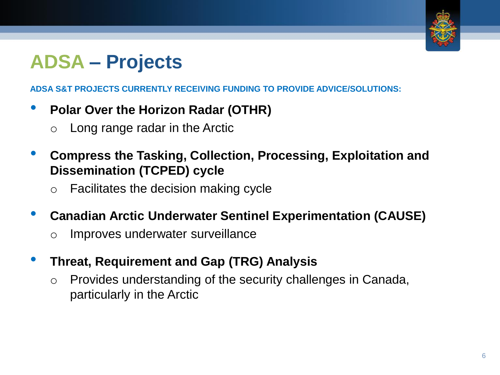

# **ADSA – Projects**

**ADSA S&T PROJECTS CURRENTLY RECEIVING FUNDING TO PROVIDE ADVICE/SOLUTIONS:**

- **Polar Over the Horizon Radar (OTHR)**
	- o Long range radar in the Arctic
- **Compress the Tasking, Collection, Processing, Exploitation and Dissemination (TCPED) cycle** 
	- o Facilitates the decision making cycle
- **Canadian Arctic Underwater Sentinel Experimentation (CAUSE)**
	- o Improves underwater surveillance
- **Threat, Requirement and Gap (TRG) Analysis**
	- o Provides understanding of the security challenges in Canada, particularly in the Arctic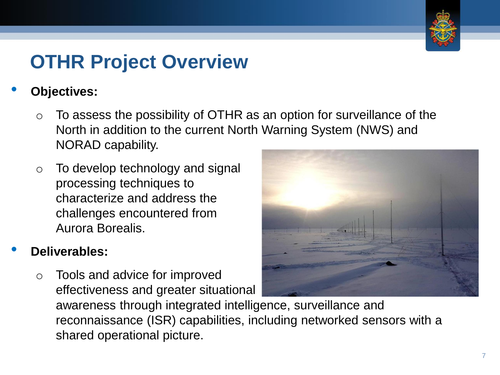

### **OTHR Project Overview**

#### • **Objectives:**

- $\circ$  To assess the possibility of OTHR as an option for surveillance of the North in addition to the current North Warning System (NWS) and NORAD capability.
- o To develop technology and signal processing techniques to characterize and address the challenges encountered from Aurora Borealis.

### • **Deliverables:**

 $\circ$  Tools and advice for improved effectiveness and greater situational



awareness through integrated intelligence, surveillance and reconnaissance (ISR) capabilities, including networked sensors with a shared operational picture.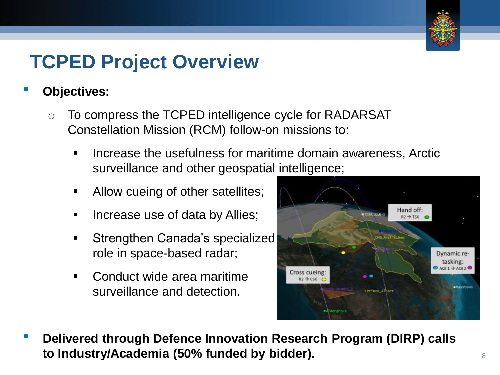

### **TCPED Project Overview**

#### • **Objectives:**

- o To compress the TCPED intelligence cycle for RADARSAT Constellation Mission (RCM) follow-on missions to:
	- Increase the usefulness for maritime domain awareness, Arctic surveillance and other geospatial intelligence;
	- Allow cueing of other satellites;
	- Increase use of data by Allies;
	- Strengthen Canada's specialized role in space-based radar;
	- Conduct wide area maritime surveillance and detection.



• **Delivered through Defence Innovation Research Program (DIRP) calls to Industry/Academia (50% funded by bidder).** <sup>8</sup>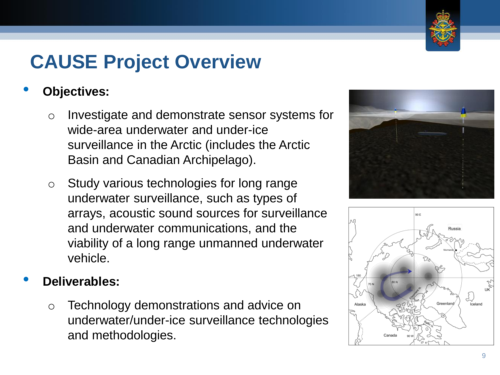#### 9

# **CAUSE Project Overview**

### • **Objectives:**

- o Investigate and demonstrate sensor systems for wide-area underwater and under-ice surveillance in the Arctic (includes the Arctic Basin and Canadian Archipelago).
- o Study various technologies for long range underwater surveillance, such as types of arrays, acoustic sound sources for surveillance and underwater communications, and the viability of a long range unmanned underwater vehicle.

### • **Deliverables:**

o Technology demonstrations and advice on underwater/under-ice surveillance technologies and methodologies.





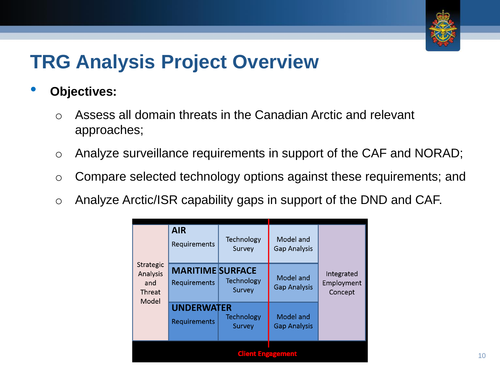

### **TRG Analysis Project Overview**

- **Objectives:** 
	- o Assess all domain threats in the Canadian Arctic and relevant approaches;
	- o Analyze surveillance requirements in support of the CAF and NORAD;
	- o Compare selected technology options against these requirements; and
	- o Analyze Arctic/ISR capability gaps in support of the DND and CAF.

| Strategic<br>Analysis<br>and<br>Threat<br>Model | <b>AIR</b><br>Requirements              | Technology<br>Survey        | Model and<br><b>Gap Analysis</b> | Integrated<br>Employment<br>Concept |
|-------------------------------------------------|-----------------------------------------|-----------------------------|----------------------------------|-------------------------------------|
|                                                 | <b>MARITIME SURFACE</b><br>Requirements | <b>Technology</b><br>Survey | Model and<br><b>Gap Analysis</b> |                                     |
|                                                 | <b>UNDERWATER</b><br>Requirements       | <b>Technology</b><br>Survey | Model and<br><b>Gap Analysis</b> |                                     |
| <b>Citent Engagement</b>                        |                                         |                             |                                  |                                     |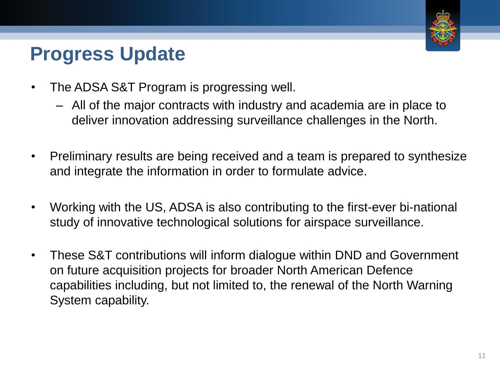

## **Progress Update**

- The ADSA S&T Program is progressing well.
	- All of the major contracts with industry and academia are in place to deliver innovation addressing surveillance challenges in the North.
- Preliminary results are being received and a team is prepared to synthesize and integrate the information in order to formulate advice.
- Working with the US, ADSA is also contributing to the first-ever bi-national study of innovative technological solutions for airspace surveillance.
- These S&T contributions will inform dialogue within DND and Government on future acquisition projects for broader North American Defence capabilities including, but not limited to, the renewal of the North Warning System capability.